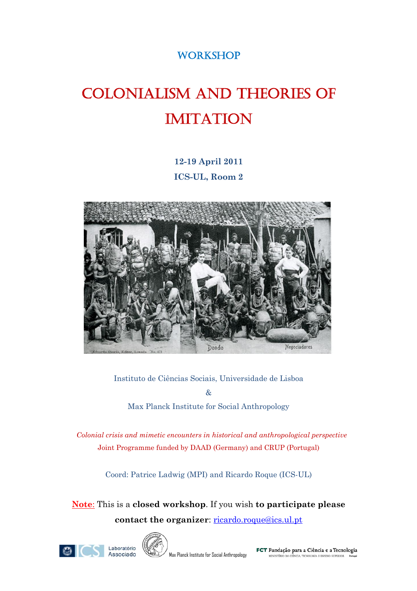# **WORKSHOP**

# COLONIALISM AND THEORIES OF IMITATION

# **12-19 April 2011 ICS-UL, Room 2**



#### Instituto de Ciências Sociais, Universidade de Lisboa

 $\mathcal{R}_{I}$ Max Planck Institute for Social Anthropology

 *Colonial crisis and mimetic encounters in historical and anthropological perspective* Joint Programme funded by DAAD (Germany) and CRUP (Portugal)

Coord: Patrice Ladwig (MPI) and Ricardo Roque (ICS-UL)

**Note**: This is a **closed workshop**. If you wish **to participate please contact the organizer**: [ricardo.roque@ics.ul.pt](mailto:ricardo.roque@ics.ul.pt)



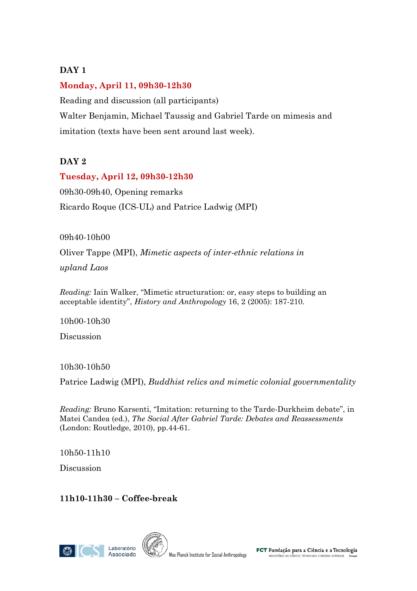## **DAY 1**

#### **Monday, April 11, 09h30-12h30**

Reading and discussion (all participants) Walter Benjamin, Michael Taussig and Gabriel Tarde on mimesis and imitation (texts have been sent around last week).

# **DAY 2**

#### **Tuesday, April 12, 09h30-12h30**

09h30-09h40, Opening remarks Ricardo Roque (ICS-UL) and Patrice Ladwig (MPI)

09h40-10h00

Oliver Tappe (MPI), *Mimetic aspects of inter-ethnic relations in* 

*upland Laos*

*Reading:* Iain Walker, "Mimetic structuration: or, easy steps to building an acceptable identity", *History and Anthropology* 16, 2 (2005): 187-210.

10h00-10h30

Discussion

10h30-10h50

Patrice Ladwig (MPI), *Buddhist relics and mimetic colonial governmentality*

*Reading:* Bruno Karsenti, "Imitation: returning to the Tarde-Durkheim debate", in Matei Candea (ed.), *The Social After Gabriel Tarde: Debates and Reassessments*  (London: Routledge, 2010), pp.44-61.

10h50-11h10

Discussion

**11h10-11h30 – Coffee-break** 

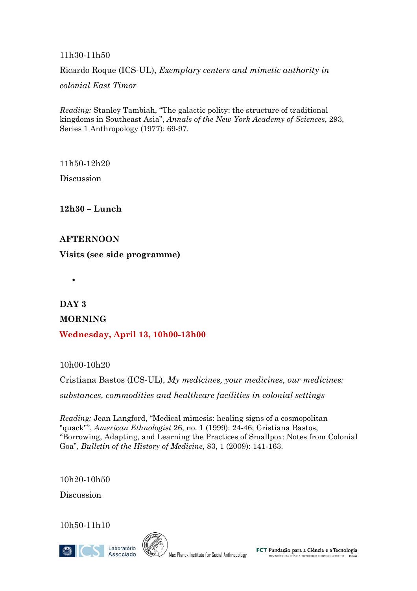11h30-11h50

Ricardo Roque (ICS-UL), *Exemplary centers and mimetic authority in* 

*colonial East Timor* 

*Reading:* Stanley Tambiah, "The galactic polity: the structure of traditional kingdoms in Southeast Asia", *Annals of the New York Academy of Sciences*, 293, Series 1 Anthropology (1977): 69-97.

11h50-12h20

Discussion

**12h30 – Lunch** 

#### **AFTERNOON**

•

**Visits (see side programme)** 

**DAY 3 MORNING Wednesday, April 13, 10h00-13h00** 

10h00-10h20

Cristiana Bastos (ICS-UL), *My medicines, your medicines, our medicines: substances, commodities and healthcare facilities in colonial settings*

*Reading:* Jean Langford, "Medical mimesis: healing signs of a cosmopolitan "quack"", *American Ethnologist* 26, no. 1 (1999): 24-46; Cristiana Bastos, "Borrowing, Adapting, and Learning the Practices of Smallpox: Notes from Colonial Goa", *Bulletin of the History of Medicine*, 83, 1 (2009): 141-163.

10h20-10h50

Discussion

10h50-11h10

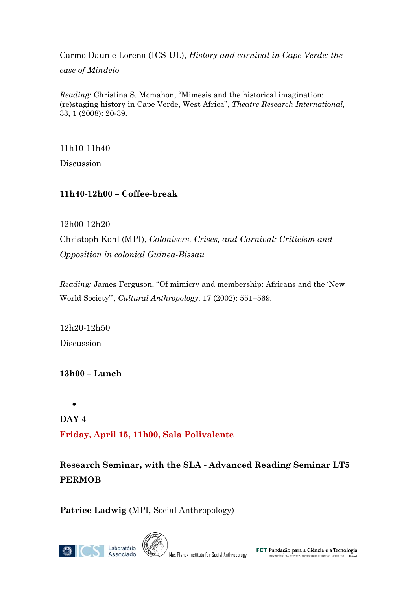Carmo Daun e Lorena (ICS-UL), *History and carnival in Cape Verde: the case of Mindelo*

*Reading:* Christina S. Mcmahon, "Mimesis and the historical imagination: (re)staging history in Cape Verde, West Africa", *Theatre Research International,* 33, 1 (2008): 20-39.

11h10-11h40

Discussion

## **11h40-12h00 – Coffee-break**

#### 12h00-12h20

Christoph Kohl (MPI), *Colonisers, Crises, and Carnival: Criticism and Opposition in colonial Guinea-Bissau*

*Reading:* James Ferguson, "Of mimicry and membership: Africans and the 'New World Society'", *Cultural Anthropology*, 17 (2002): 551–569.

12h20-12h50 Discussion

**13h00 – Lunch** 

• **DAY 4 Friday, April 15, 11h00, Sala Polivalente** 

**Research Seminar, with the SLA - Advanced Reading Seminar LT5 PERMOB** 

**Patrice Ladwig** (MPI, Social Anthropology)



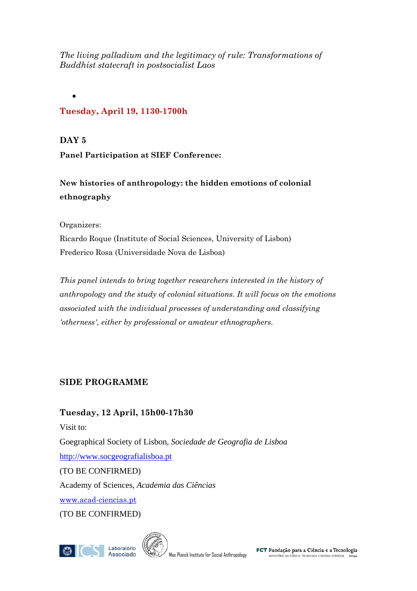*The living palladium and the legitimacy of rule: Transformations of Buddhist statecraft in postsocialist Laos* 

# **Tuesday, April 19, 1130-1700h**

**DAY 5** 

•

**Panel Participation at SIEF Conference:** 

**New histories of anthropology: the hidden emotions of colonial ethnography** 

Organizers:

Ricardo Roque (Institute of Social Sciences, University of Lisbon) Frederico Rosa (Universidade Nova de Lisboa)

*This panel intends to bring together researchers interested in the history of anthropology and the study of colonial situations. It will focus on the emotions associated with the individual processes of understanding and classifying 'otherness', either by professional or amateur ethnographers.* 

# **SIDE PROGRAMME**

**Tuesday, 12 April, 15h00-17h30**  Visit to: Goegraphical Society of Lisbon, *Sociedade de Geografia de Lisboa* [http://www.socgeografialisboa.pt](http://www.socgeografialisboa.pt/) (TO BE CONFIRMED) Academy of Sciences, *Academia das Ciências*

[www.acad-ciencias.pt](http://www.acad-ciencias.pt/)

(TO BE CONFIRMED)